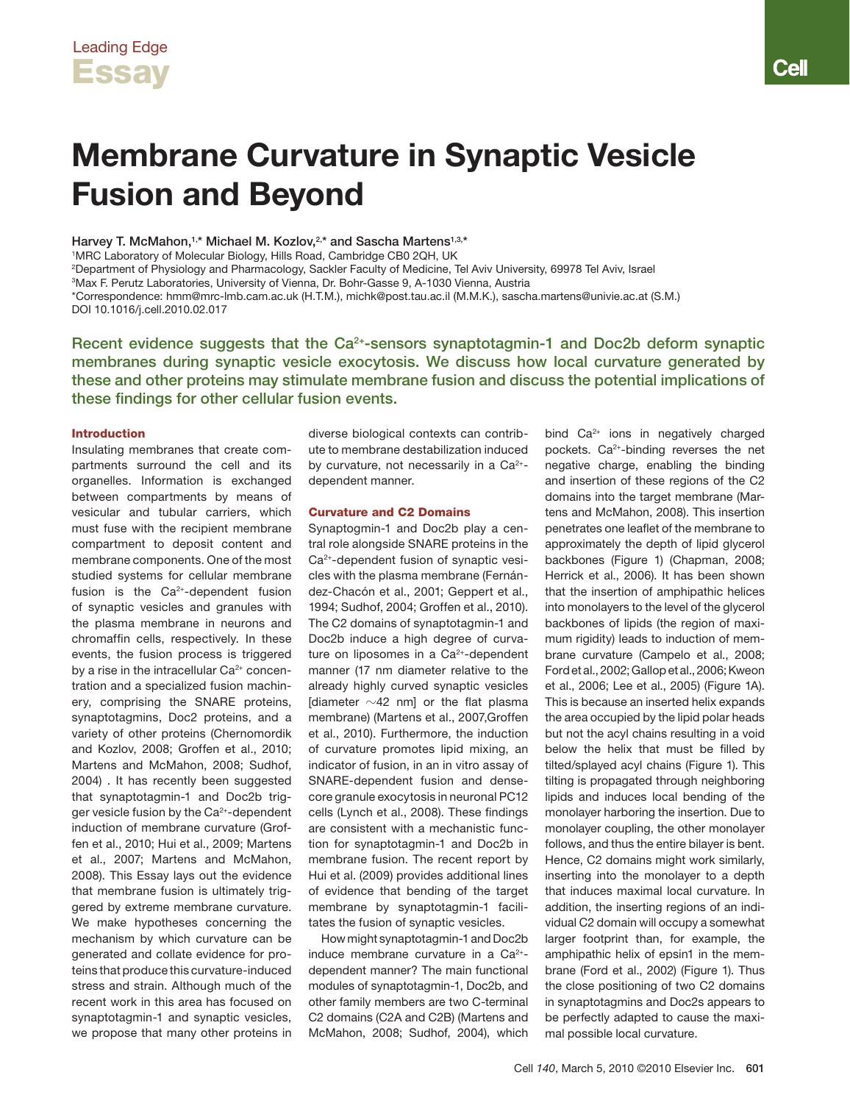# Membrane Curvature in Synaptic Vesicle Fusion and Beyond

Harvey T. McMahon,<sup>1,\*</sup> Michael M. Kozlov,<sup>2,\*</sup> and Sascha Martens<sup>1,3,\*</sup>

1 MRC Laboratory of Molecular Biology, Hills Road, Cambridge CB0 2QH, UK

2 Department of Physiology and Pharmacology, Sackler Faculty of Medicine, Tel Aviv University, 69978 Tel Aviv, Israel

3 Max F. Perutz Laboratories, University of Vienna, Dr. Bohr-Gasse 9, A-1030 Vienna, Austria

\*Correspondence: hmm@mrc-lmb.cam.ac.uk (H.T.M.), michk@post.tau.ac.il (M.M.K.), sascha.martens@univie.ac.at (S.M.) DOI 10.1016/j.cell.2010.02.017

Recent evidence suggests that the  $Ca<sup>2+</sup>$ -sensors synaptotagmin-1 and Doc2b deform synaptic membranes during synaptic vesicle exocytosis. We discuss how local curvature generated by these and other proteins may stimulate membrane fusion and discuss the potential implications of these findings for other cellular fusion events.

## Introduction

Insulating membranes that create compartments surround the cell and its organelles. Information is exchanged between compartments by means of vesicular and tubular carriers, which must fuse with the recipient membrane compartment to deposit content and membrane components. One of the most studied systems for cellular membrane fusion is the  $Ca<sup>2+</sup>$ -dependent fusion of synaptic vesicles and granules with the plasma membrane in neurons and chromaffin cells, respectively. In these events, the fusion process is triggered by a rise in the intracellular Ca<sup>2+</sup> concentration and a specialized fusion machinery, comprising the SNARE proteins, synaptotagmins, Doc2 proteins, and a variety of other proteins (Chernomordik and Kozlov, 2008; Groffen et al., 2010; Martens and McMahon, 2008; Sudhof, 2004) . It has recently been suggested that synaptotagmin-1 and Doc2b trigger vesicle fusion by the Ca2+-dependent induction of membrane curvature (Groffen et al., 2010; Hui et al., 2009; Martens et al., 2007; Martens and McMahon, 2008). This Essay lays out the evidence that membrane fusion is ultimately triggered by extreme membrane curvature. We make hypotheses concerning the mechanism by which curvature can be generated and collate evidence for proteins that produce this curvature-induced stress and strain. Although much of the recent work in this area has focused on synaptotagmin-1 and synaptic vesicles, we propose that many other proteins in

diverse biological contexts can contribute to membrane destabilization induced by curvature, not necessarily in a  $Ca<sup>2+</sup>$ dependent manner.

# Curvature and C2 Domains

Synaptogmin-1 and Doc2b play a central role alongside SNARE proteins in the Ca2+-dependent fusion of synaptic vesicles with the plasma membrane (Fernández-Chacón et al., 2001; Geppert et al., 1994; Sudhof, 2004; Groffen et al., 2010). The C2 domains of synaptotagmin-1 and Doc2b induce a high degree of curvature on liposomes in a  $Ca<sup>2+</sup>$ -dependent manner (17 nm diameter relative to the already highly curved synaptic vesicles [diameter  $\sim$ 42 nm] or the flat plasma membrane) (Martens et al., 2007,Groffen et al., 2010). Furthermore, the induction of curvature promotes lipid mixing, an indicator of fusion, in an in vitro assay of SNARE-dependent fusion and densecore granule exocytosis in neuronal PC12 cells (Lynch et al., 2008). These findings are consistent with a mechanistic function for synaptotagmin-1 and Doc2b in membrane fusion. The recent report by Hui et al. (2009) provides additional lines of evidence that bending of the target membrane by synaptotagmin-1 facilitates the fusion of synaptic vesicles.

How might synaptotagmin-1 and Doc2b induce membrane curvature in a Ca<sup>2+</sup>dependent manner? The main functional modules of synaptotagmin-1, Doc2b, and other family members are two C-terminal C2 domains (C2A and C2B) (Martens and McMahon, 2008; Sudhof, 2004), which

bind Ca<sup>2+</sup> ions in negatively charged pockets. Ca<sup>2+</sup>-binding reverses the net negative charge, enabling the binding and insertion of these regions of the C2 domains into the target membrane (Martens and McMahon, 2008). This insertion penetrates one leaflet of the membrane to approximately the depth of lipid glycerol backbones (Figure 1) (Chapman, 2008; Herrick et al., 2006). It has been shown that the insertion of amphipathic helices into monolayers to the level of the glycerol backbones of lipids (the region of maximum rigidity) leads to induction of membrane curvature (Campelo et al., 2008; Ford et al., 2002; Gallop et al., 2006; Kweon et al., 2006; Lee et al., 2005) (Figure 1A). This is because an inserted helix expands the area occupied by the lipid polar heads but not the acyl chains resulting in a void below the helix that must be filled by tilted/splayed acyl chains (Figure 1). This tilting is propagated through neighboring lipids and induces local bending of the monolayer harboring the insertion. Due to monolayer coupling, the other monolayer follows, and thus the entire bilayer is bent. Hence, C2 domains might work similarly, inserting into the monolayer to a depth that induces maximal local curvature. In addition, the inserting regions of an individual C2 domain will occupy a somewhat larger footprint than, for example, the amphipathic helix of epsin1 in the membrane (Ford et al., 2002) (Figure 1). Thus the close positioning of two C2 domains in synaptotagmins and Doc2s appears to be perfectly adapted to cause the maximal possible local curvature.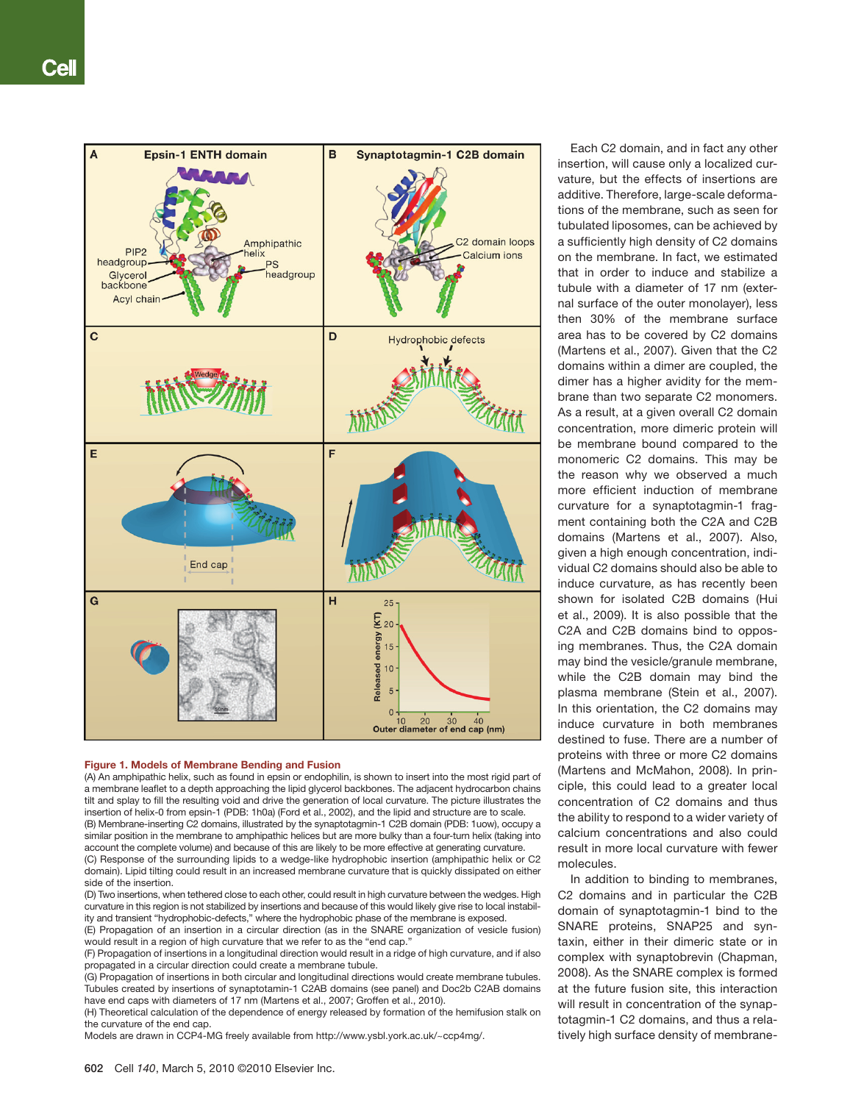

#### Figure 1. Models of Membrane Bending and Fusion

(A) An amphipathic helix, such as found in epsin or endophilin, is shown to insert into the most rigid part of a membrane leaflet to a depth approaching the lipid glycerol backbones. The adjacent hydrocarbon chains tilt and splay to fill the resulting void and drive the generation of local curvature. The picture illustrates the insertion of helix-0 from epsin-1 (PDB: 1h0a) (Ford et al., 2002), and the lipid and structure are to scale. (B) Membrane-inserting C2 domains, illustrated by the synaptotagmin-1 C2B domain (PDB: 1uow), occupy a

similar position in the membrane to amphipathic helices but are more bulky than a four-turn helix (taking into account the complete volume) and because of this are likely to be more effective at generating curvature.

(C) Response of the surrounding lipids to a wedge-like hydrophobic insertion (amphipathic helix or C2 domain). Lipid tilting could result in an increased membrane curvature that is quickly dissipated on either side of the insertion.

(D) Two insertions, when tethered close to each other, could result in high curvature between the wedges. High curvature in this region is not stabilized by insertions and because of this would likely give rise to local instability and transient "hydrophobic-defects," where the hydrophobic phase of the membrane is exposed.

(E) Propagation of an insertion in a circular direction (as in the SNARE organization of vesicle fusion) would result in a region of high curvature that we refer to as the "end cap.

(F) Propagation of insertions in a longitudinal direction would result in a ridge of high curvature, and if also propagated in a circular direction could create a membrane tubule.

(G) Propagation of insertions in both circular and longitudinal directions would create membrane tubules. Tubules created by insertions of synaptotamin-1 C2AB domains (see panel) and Doc2b C2AB domains have end caps with diameters of 17 nm (Martens et al., 2007; Groffen et al., 2010).

(H) Theoretical calculation of the dependence of energy released by formation of the hemifusion stalk on the curvature of the end cap.

Models are drawn in CCP4-MG freely available from http://www.ysbl.york.ac.uk/~ccp4mg/.

Each C2 domain, and in fact any other insertion, will cause only a localized curvature, but the effects of insertions are additive. Therefore, large-scale deformations of the membrane, such as seen for tubulated liposomes, can be achieved by a sufficiently high density of C2 domains on the membrane. In fact, we estimated that in order to induce and stabilize a tubule with a diameter of 17 nm (external surface of the outer monolayer), less then 30% of the membrane surface area has to be covered by C2 domains (Martens et al., 2007). Given that the C2 domains within a dimer are coupled, the dimer has a higher avidity for the membrane than two separate C2 monomers. As a result, at a given overall C2 domain concentration, more dimeric protein will be membrane bound compared to the monomeric C2 domains. This may be the reason why we observed a much more efficient induction of membrane curvature for a synaptotagmin-1 fragment containing both the C2A and C2B domains (Martens et al., 2007). Also, given a high enough concentration, individual C2 domains should also be able to induce curvature, as has recently been shown for isolated C2B domains (Hui et al., 2009). It is also possible that the C2A and C2B domains bind to opposing membranes. Thus, the C2A domain may bind the vesicle/granule membrane, while the C2B domain may bind the plasma membrane (Stein et al., 2007). In this orientation, the C2 domains may induce curvature in both membranes destined to fuse. There are a number of proteins with three or more C2 domains (Martens and McMahon, 2008). In principle, this could lead to a greater local concentration of C2 domains and thus the ability to respond to a wider variety of calcium concentrations and also could result in more local curvature with fewer molecules.

In addition to binding to membranes, C2 domains and in particular the C2B domain of synaptotagmin-1 bind to the SNARE proteins, SNAP25 and syntaxin, either in their dimeric state or in complex with synaptobrevin (Chapman, 2008). As the SNARE complex is formed at the future fusion site, this interaction will result in concentration of the synaptotagmin-1 C2 domains, and thus a relatively high surface density of membrane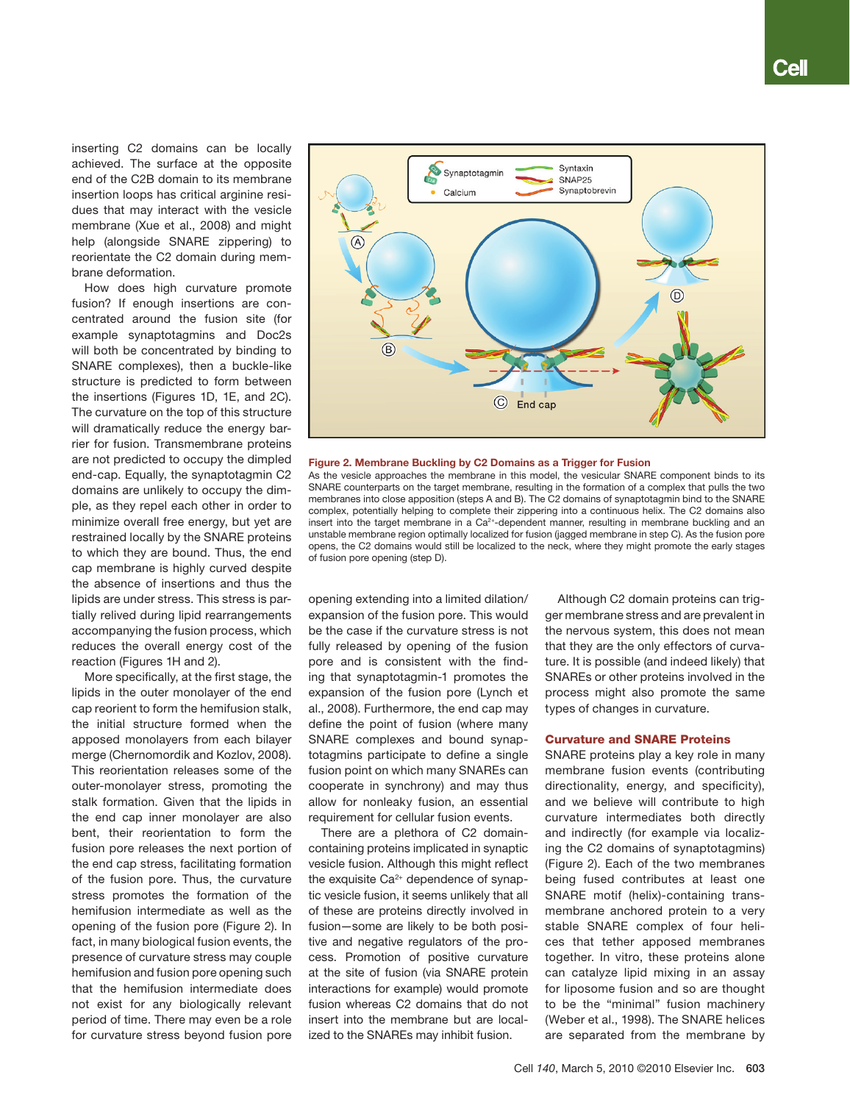inserting C2 domains can be locally achieved. The surface at the opposite end of the C2B domain to its membrane insertion loops has critical arginine residues that may interact with the vesicle membrane (Xue et al., 2008) and might help (alongside SNARE zippering) to reorientate the C2 domain during membrane deformation.

How does high curvature promote fusion? If enough insertions are concentrated around the fusion site (for example synaptotagmins and Doc2s will both be concentrated by binding to SNARE complexes), then a buckle-like structure is predicted to form between the insertions (Figures 1D, 1E, and 2C). The curvature on the top of this structure will dramatically reduce the energy barrier for fusion. Transmembrane proteins are not predicted to occupy the dimpled end-cap. Equally, the synaptotagmin C2 domains are unlikely to occupy the dimple, as they repel each other in order to minimize overall free energy, but yet are restrained locally by the SNARE proteins to which they are bound. Thus, the end cap membrane is highly curved despite the absence of insertions and thus the lipids are under stress. This stress is partially relived during lipid rearrangements accompanying the fusion process, which reduces the overall energy cost of the reaction (Figures 1H and 2).

More specifically, at the first stage, the lipids in the outer monolayer of the end cap reorient to form the hemifusion stalk, the initial structure formed when the apposed monolayers from each bilayer merge (Chernomordik and Kozlov, 2008). This reorientation releases some of the outer-monolayer stress, promoting the stalk formation. Given that the lipids in the end cap inner monolayer are also bent, their reorientation to form the fusion pore releases the next portion of the end cap stress, facilitating formation of the fusion pore. Thus, the curvature stress promotes the formation of the hemifusion intermediate as well as the opening of the fusion pore (Figure 2). In fact, in many biological fusion events, the presence of curvature stress may couple hemifusion and fusion pore opening such that the hemifusion intermediate does not exist for any biologically relevant period of time. There may even be a role for curvature stress beyond fusion pore



#### Figure 2. Membrane Buckling by C2 Domains as a Trigger for Fusion

As the vesicle approaches the membrane in this model, the vesicular SNARE component binds to its SNARE counterparts on the target membrane, resulting in the formation of a complex that pulls the two membranes into close apposition (steps A and B). The C2 domains of synaptotagmin bind to the SNARE complex, potentially helping to complete their zippering into a continuous helix. The C2 domains also insert into the target membrane in a Ca<sup>2+</sup>-dependent manner, resulting in membrane buckling and an unstable membrane region optimally localized for fusion (jagged membrane in step C). As the fusion pore opens, the C2 domains would still be localized to the neck, where they might promote the early stages of fusion pore opening (step D).

opening extending into a limited dilation/ expansion of the fusion pore. This would be the case if the curvature stress is not fully released by opening of the fusion pore and is consistent with the finding that synaptotagmin-1 promotes the expansion of the fusion pore (Lynch et al., 2008). Furthermore, the end cap may define the point of fusion (where many SNARE complexes and bound synaptotagmins participate to define a single fusion point on which many SNAREs can cooperate in synchrony) and may thus allow for nonleaky fusion, an essential requirement for cellular fusion events.

There are a plethora of C2 domaincontaining proteins implicated in synaptic vesicle fusion. Although this might reflect the exquisite  $Ca<sup>2+</sup>$  dependence of synaptic vesicle fusion, it seems unlikely that all of these are proteins directly involved in fusion—some are likely to be both positive and negative regulators of the process. Promotion of positive curvature at the site of fusion (via SNARE protein interactions for example) would promote fusion whereas C2 domains that do not insert into the membrane but are localized to the SNAREs may inhibit fusion.

Although C2 domain proteins can trigger membrane stress and are prevalent in the nervous system, this does not mean that they are the only effectors of curvature. It is possible (and indeed likely) that SNAREs or other proteins involved in the process might also promote the same types of changes in curvature.

## Curvature and SNARE Proteins

SNARE proteins play a key role in many membrane fusion events (contributing directionality, energy, and specificity), and we believe will contribute to high curvature intermediates both directly and indirectly (for example via localizing the C2 domains of synaptotagmins) (Figure 2). Each of the two membranes being fused contributes at least one SNARE motif (helix)-containing transmembrane anchored protein to a very stable SNARE complex of four helices that tether apposed membranes together. In vitro, these proteins alone can catalyze lipid mixing in an assay for liposome fusion and so are thought to be the "minimal" fusion machinery (Weber et al., 1998). The SNARE helices are separated from the membrane by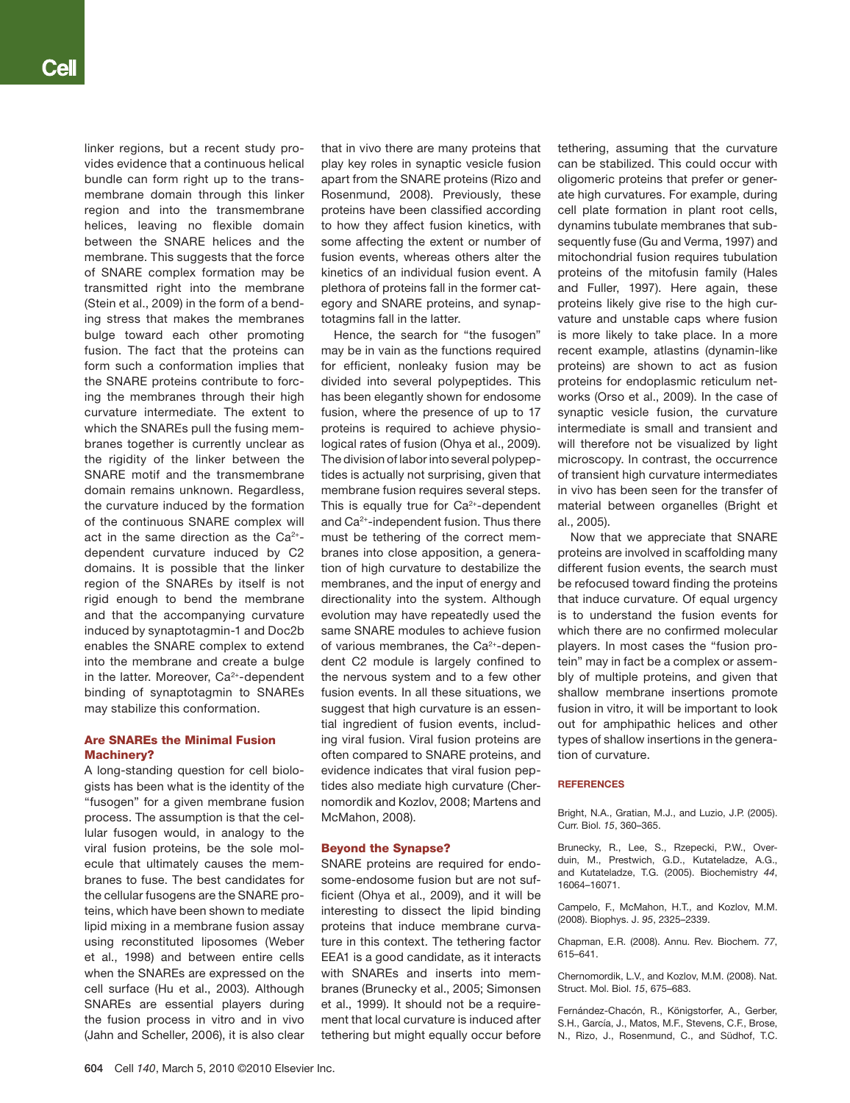linker regions, but a recent study provides evidence that a continuous helical bundle can form right up to the transmembrane domain through this linker region and into the transmembrane helices, leaving no flexible domain between the SNARE helices and the membrane. This suggests that the force of SNARE complex formation may be transmitted right into the membrane (Stein et al., 2009) in the form of a bending stress that makes the membranes bulge toward each other promoting fusion. The fact that the proteins can form such a conformation implies that the SNARE proteins contribute to forcing the membranes through their high curvature intermediate. The extent to which the SNAREs pull the fusing membranes together is currently unclear as the rigidity of the linker between the SNARE motif and the transmembrane domain remains unknown. Regardless, the curvature induced by the formation of the continuous SNARE complex will act in the same direction as the  $Ca<sup>2+</sup>$ dependent curvature induced by C2 domains. It is possible that the linker region of the SNAREs by itself is not rigid enough to bend the membrane and that the accompanying curvature induced by synaptotagmin-1 and Doc2b enables the SNARE complex to extend into the membrane and create a bulge in the latter. Moreover, Ca<sup>2+</sup>-dependent binding of synaptotagmin to SNAREs may stabilize this conformation.

# Are SNAREs the Minimal Fusion Machinery?

A long-standing question for cell biologists has been what is the identity of the "fusogen" for a given membrane fusion process. The assumption is that the cellular fusogen would, in analogy to the viral fusion proteins, be the sole molecule that ultimately causes the membranes to fuse. The best candidates for the cellular fusogens are the SNARE proteins, which have been shown to mediate lipid mixing in a membrane fusion assay using reconstituted liposomes (Weber et al., 1998) and between entire cells when the SNAREs are expressed on the cell surface (Hu et al., 2003). Although SNAREs are essential players during the fusion process in vitro and in vivo (Jahn and Scheller, 2006), it is also clear that in vivo there are many proteins that play key roles in synaptic vesicle fusion apart from the SNARE proteins (Rizo and Rosenmund, 2008). Previously, these proteins have been classified according to how they affect fusion kinetics, with some affecting the extent or number of fusion events, whereas others alter the kinetics of an individual fusion event. A plethora of proteins fall in the former category and SNARE proteins, and synaptotagmins fall in the latter.

Hence, the search for "the fusogen" may be in vain as the functions required for efficient, nonleaky fusion may be divided into several polypeptides. This has been elegantly shown for endosome fusion, where the presence of up to 17 proteins is required to achieve physiological rates of fusion (Ohya et al., 2009). The division of labor into several polypeptides is actually not surprising, given that membrane fusion requires several steps. This is equally true for  $Ca<sup>2+</sup>$ -dependent and Ca2+-independent fusion. Thus there must be tethering of the correct membranes into close apposition, a generation of high curvature to destabilize the membranes, and the input of energy and directionality into the system. Although evolution may have repeatedly used the same SNARE modules to achieve fusion of various membranes, the Ca2+-dependent C2 module is largely confined to the nervous system and to a few other fusion events. In all these situations, we suggest that high curvature is an essential ingredient of fusion events, including viral fusion. Viral fusion proteins are often compared to SNARE proteins, and evidence indicates that viral fusion peptides also mediate high curvature (Chernomordik and Kozlov, 2008; Martens and McMahon, 2008).

## Beyond the Synapse?

SNARE proteins are required for endosome-endosome fusion but are not sufficient (Ohya et al., 2009), and it will be interesting to dissect the lipid binding proteins that induce membrane curvature in this context. The tethering factor EEA1 is a good candidate, as it interacts with SNAREs and inserts into membranes (Brunecky et al., 2005; Simonsen et al., 1999). It should not be a requirement that local curvature is induced after tethering but might equally occur before

tethering, assuming that the curvature can be stabilized. This could occur with oligomeric proteins that prefer or generate high curvatures. For example, during cell plate formation in plant root cells, dynamins tubulate membranes that subsequently fuse (Gu and Verma, 1997) and mitochondrial fusion requires tubulation proteins of the mitofusin family (Hales and Fuller, 1997). Here again, these proteins likely give rise to the high curvature and unstable caps where fusion is more likely to take place. In a more recent example, atlastins (dynamin-like proteins) are shown to act as fusion proteins for endoplasmic reticulum networks (Orso et al., 2009). In the case of synaptic vesicle fusion, the curvature intermediate is small and transient and will therefore not be visualized by light microscopy. In contrast, the occurrence of transient high curvature intermediates in vivo has been seen for the transfer of material between organelles (Bright et al., 2005).

Now that we appreciate that SNARE proteins are involved in scaffolding many different fusion events, the search must be refocused toward finding the proteins that induce curvature. Of equal urgency is to understand the fusion events for which there are no confirmed molecular players. In most cases the "fusion protein" may in fact be a complex or assembly of multiple proteins, and given that shallow membrane insertions promote fusion in vitro, it will be important to look out for amphipathic helices and other types of shallow insertions in the generation of curvature.

# References

Bright, N.A., Gratian, M.J., and Luzio, J.P. (2005). Curr. Biol. *15*, 360–365.

Brunecky, R., Lee, S., Rzepecki, P.W., Overduin, M., Prestwich, G.D., Kutateladze, A.G., and Kutateladze, T.G. (2005). Biochemistry *44*, 16064–16071.

Campelo, F., McMahon, H.T., and Kozlov, M.M. (2008). Biophys. J. *95*, 2325–2339.

Chapman, E.R. (2008). Annu. Rev. Biochem. *77*, 615–641.

Chernomordik, L.V., and Kozlov, M.M. (2008). Nat. Struct. Mol. Biol. *15*, 675–683.

Fernández-Chacón, R., Königstorfer, A., Gerber, S.H., García, J., Matos, M.F., Stevens, C.F., Brose, N., Rizo, J., Rosenmund, C., and Südhof, T.C.